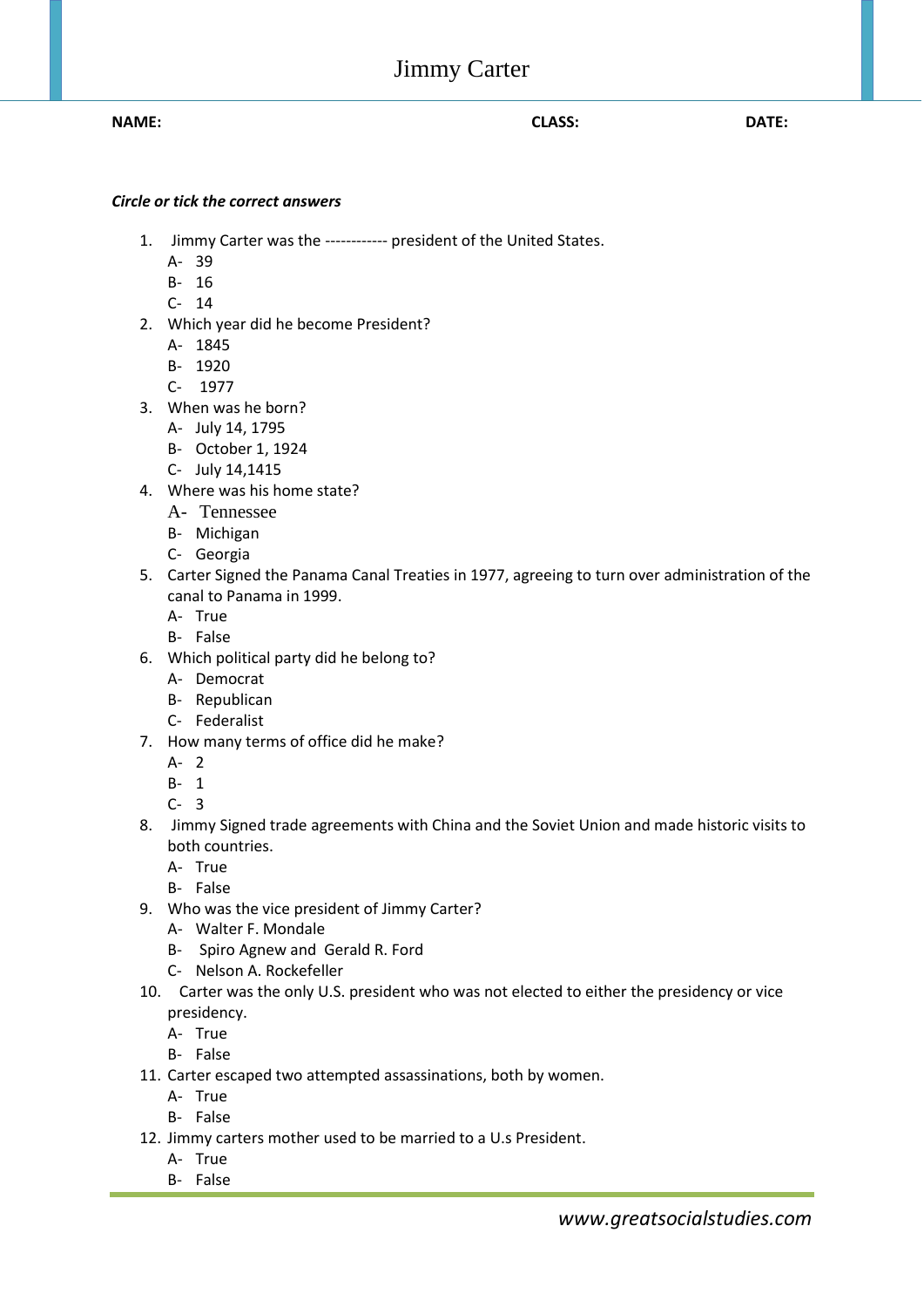## Jimmy Carter

**NAME: CLASS: DATE:**

## *Circle or tick the correct answers*

- 1. Jimmy Carter was the ------------ president of the United States.
	- A- 39
	- B- 16
	- C- 14
- 2. Which year did he become President?
	- A- 1845
	- B- 1920
	- C- 1977
- 3. When was he born?
	- A- July 14, 1795
	- B- October 1, 1924
	- C- July 14,1415
- 4. Where was his home state?
	- A- Tennessee
	- B- Michigan
	- C- Georgia
- 5. Carter Signed the Panama Canal Treaties in 1977, agreeing to turn over administration of the canal to Panama in 1999.
	- A- True
	- B- False
- 6. Which political party did he belong to?
	- A- Democrat
	- B- Republican
	- C- Federalist
- 7. How many terms of office did he make?
	- A- 2
	- B- 1
	- C- 3
- 8. Jimmy Signed trade agreements with China and the Soviet Union and made historic visits to both countries.
	- A- True
	- B- False
- 9. Who was the vice president of Jimmy Carter?
	- A- Walter F. Mondale
	- B- Spiro Agnew and Gerald R. Ford
	- C- Nelson A. Rockefeller
- 10. Carter was the only U.S. president who was not elected to either the presidency or vice presidency.
	- A- True
	- B- False
- 11. Carter escaped two attempted assassinations, both by women.
	- A- True
	- B- False
- 12. Jimmy carters mother used to be married to a U.s President.
	- A- True
	- B- False